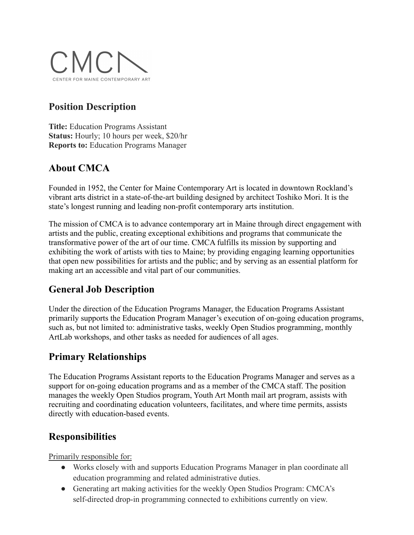

## **Position Description**

**Title:** Education Programs Assistant **Status:** Hourly; 10 hours per week, \$20/hr **Reports to:** Education Programs Manager

# **About CMCA**

Founded in 1952, the Center for Maine Contemporary Art is located in downtown Rockland's vibrant arts district in a state-of-the-art building designed by architect Toshiko Mori. It is the state's longest running and leading non-profit contemporary arts institution.

The mission of CMCA is to advance contemporary art in Maine through direct engagement with artists and the public, creating exceptional exhibitions and programs that communicate the transformative power of the art of our time. CMCA fulfills its mission by supporting and exhibiting the work of artists with ties to Maine; by providing engaging learning opportunities that open new possibilities for artists and the public; and by serving as an essential platform for making art an accessible and vital part of our communities.

# **General Job Description**

Under the direction of the Education Programs Manager, the Education Programs Assistant primarily supports the Education Program Manager's execution of on-going education programs, such as, but not limited to: administrative tasks, weekly Open Studios programming, monthly ArtLab workshops, and other tasks as needed for audiences of all ages.

### **Primary Relationships**

The Education Programs Assistant reports to the Education Programs Manager and serves as a support for on-going education programs and as a member of the CMCA staff. The position manages the weekly Open Studios program, Youth Art Month mail art program, assists with recruiting and coordinating education volunteers, facilitates, and where time permits, assists directly with education-based events.

### **Responsibilities**

Primarily responsible for:

- Works closely with and supports Education Programs Manager in plan coordinate all education programming and related administrative duties.
- Generating art making activities for the weekly Open Studios Program: CMCA's self-directed drop-in programming connected to exhibitions currently on view.